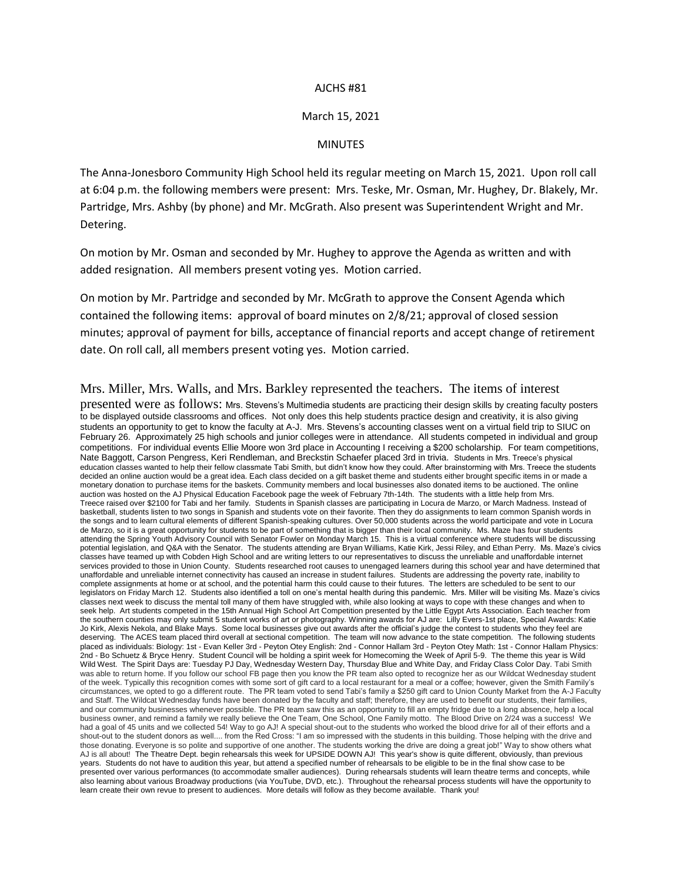## AJCHS #81

## March 15, 2021

## MINUTES

The Anna-Jonesboro Community High School held its regular meeting on March 15, 2021. Upon roll call at 6:04 p.m. the following members were present: Mrs. Teske, Mr. Osman, Mr. Hughey, Dr. Blakely, Mr. Partridge, Mrs. Ashby (by phone) and Mr. McGrath. Also present was Superintendent Wright and Mr. Detering.

On motion by Mr. Osman and seconded by Mr. Hughey to approve the Agenda as written and with added resignation. All members present voting yes. Motion carried.

On motion by Mr. Partridge and seconded by Mr. McGrath to approve the Consent Agenda which contained the following items: approval of board minutes on 2/8/21; approval of closed session minutes; approval of payment for bills, acceptance of financial reports and accept change of retirement date. On roll call, all members present voting yes. Motion carried.

## Mrs. Miller, Mrs. Walls, and Mrs. Barkley represented the teachers. The items of interest

presented were as follows: Mrs. Stevens's Multimedia students are practicing their design skills by creating faculty posters to be displayed outside classrooms and offices. Not only does this help students practice design and creativity, it is also giving students an opportunity to get to know the faculty at A-J. Mrs. Stevens's accounting classes went on a virtual field trip to SIUC on February 26. Approximately 25 high schools and junior colleges were in attendance. All students competed in individual and group competitions. For individual events Ellie Moore won 3rd place in Accounting I receiving a \$200 scholarship. For team competitions, Nate Baggott, Carson Pengress, Keri Rendleman, and Breckstin Schaefer placed 3rd in trivia. Students in Mrs. Treece's physical education classes wanted to help their fellow classmate Tabi Smith, but didn't know how they could. After brainstorming with Mrs. Treece the students decided an online auction would be a great idea. Each class decided on a gift basket theme and students either brought specific items in or made a monetary donation to purchase items for the baskets. Community members and local businesses also donated items to be auctioned. The online auction was hosted on the AJ Physical Education Facebook page the week of February 7th-14th. The students with a little help from Mrs. Treece raised over \$2100 for Tabi and her family. Students in Spanish classes are participating in Locura de Marzo, or March Madness. Instead of basketball, students listen to two songs in Spanish and students vote on their favorite. Then they do assignments to learn common Spanish words in the songs and to learn cultural elements of different Spanish-speaking cultures. Over 50,000 students across the world participate and vote in Locura de Marzo, so it is a great opportunity for students to be part of something that is bigger than their local community. Ms. Maze has four students attending the Spring Youth Advisory Council with Senator Fowler on Monday March 15. This is a virtual conference where students will be discussing potential legislation, and Q&A with the Senator. The students attending are Bryan Williams, Katie Kirk, Jessi Riley, and Ethan Perry. Ms. Maze's civics classes have teamed up with Cobden High School and are writing letters to our representatives to discuss the unreliable and unaffordable internet services provided to those in Union County. Students researched root causes to unengaged learners during this school year and have determined that unaffordable and unreliable internet connectivity has caused an increase in student failures. Students are addressing the poverty rate, inability to complete assignments at home or at school, and the potential harm this could cause to their futures. The letters are scheduled to be sent to our legislators on Friday March 12. Students also identified a toll on one's mental health during this pandemic. Mrs. Miller will be visiting Ms. Maze's civics classes next week to discuss the mental toll many of them have struggled with, while also looking at ways to cope with these changes and when to seek help. Art students competed in the 15th Annual High School Art Competition presented by the Little Egypt Arts Association. Each teacher from the southern counties may only submit 5 student works of art or photography. Winning awards for AJ are: Lilly Evers-1st place, Special Awards: Katie Jo Kirk, Alexis Nekola, and Blake Mays. Some local businesses give out awards after the official's judge the contest to students who they feel are deserving. The ACES team placed third overall at sectional competition. The team will now advance to the state competition. The following students placed as individuals: Biology: 1st - Evan Keller 3rd - Peyton Otey English: 2nd - Connor Hallam 3rd - Peyton Otey Math: 1st - Connor Hallam Physics: 2nd - Bo Schuetz & Bryce Henry. Student Council will be holding a spirit week for Homecoming the Week of April 5-9. The theme this year is Wild Wild West. The Spirit Days are: Tuesday PJ Day, Wednesday Western Day, Thursday Blue and White Day, and Friday Class Color Day. Tabi Smith was able to return home. If you follow our school FB page then you know the PR team also opted to recognize her as our Wildcat Wednesday student of the week. Typically this recognition comes with some sort of gift card to a local restaurant for a meal or a coffee; however, given the Smith Family's circumstances, we opted to go a different route. The PR team voted to send Tabi's family a \$250 gift card to Union County Market from the A-J Faculty and Staff. The Wildcat Wednesday funds have been donated by the faculty and staff; therefore, they are used to benefit our students, their families, and our community businesses whenever possible. The PR team saw this as an opportunity to fill an empty fridge due to a long absence, help a local business owner, and remind a family we really believe the One Team, One School, One Family motto. The Blood Drive on 2/24 was a success! We had a goal of 45 units and we collected 54! Way to go AJ! A special shout-out to the students who worked the blood drive for all of their efforts and a shout-out to the student donors as well.... from the Red Cross: "I am so impressed with the students in this building. Those helping with the drive and those donating. Everyone is so polite and supportive of one another. The students working the drive are doing a great job!" Way to show others what AJ is all about! The Theatre Dept. begin rehearsals this week for UPSIDE DOWN AJ! This year's show is quite different, obviously, than previous years. Students do not have to audition this year, but attend a specified number of rehearsals to be eligible to be in the final show case to be presented over various performances (to accommodate smaller audiences). During rehearsals students will learn theatre terms and concepts, while also learning about various Broadway productions (via YouTube, DVD, etc.). Throughout the rehearsal process students will have the opportunity to learn create their own revue to present to audiences. More details will follow as they become available. Thank you!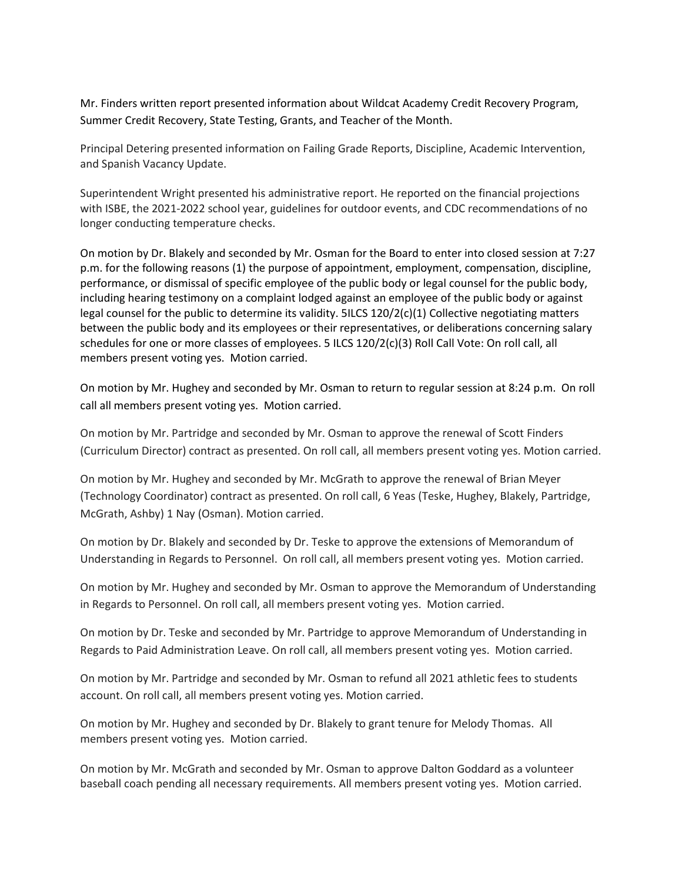Mr. Finders written report presented information about Wildcat Academy Credit Recovery Program, Summer Credit Recovery, State Testing, Grants, and Teacher of the Month.

Principal Detering presented information on Failing Grade Reports, Discipline, Academic Intervention, and Spanish Vacancy Update.

Superintendent Wright presented his administrative report. He reported on the financial projections with ISBE, the 2021-2022 school year, guidelines for outdoor events, and CDC recommendations of no longer conducting temperature checks.

On motion by Dr. Blakely and seconded by Mr. Osman for the Board to enter into closed session at 7:27 p.m. for the following reasons (1) the purpose of appointment, employment, compensation, discipline, performance, or dismissal of specific employee of the public body or legal counsel for the public body, including hearing testimony on a complaint lodged against an employee of the public body or against legal counsel for the public to determine its validity. 5ILCS 120/2(c)(1) Collective negotiating matters between the public body and its employees or their representatives, or deliberations concerning salary schedules for one or more classes of employees. 5 ILCS 120/2(c)(3) Roll Call Vote: On roll call, all members present voting yes. Motion carried.

On motion by Mr. Hughey and seconded by Mr. Osman to return to regular session at 8:24 p.m. On roll call all members present voting yes. Motion carried.

On motion by Mr. Partridge and seconded by Mr. Osman to approve the renewal of Scott Finders (Curriculum Director) contract as presented. On roll call, all members present voting yes. Motion carried.

On motion by Mr. Hughey and seconded by Mr. McGrath to approve the renewal of Brian Meyer (Technology Coordinator) contract as presented. On roll call, 6 Yeas (Teske, Hughey, Blakely, Partridge, McGrath, Ashby) 1 Nay (Osman). Motion carried.

On motion by Dr. Blakely and seconded by Dr. Teske to approve the extensions of Memorandum of Understanding in Regards to Personnel. On roll call, all members present voting yes. Motion carried.

On motion by Mr. Hughey and seconded by Mr. Osman to approve the Memorandum of Understanding in Regards to Personnel. On roll call, all members present voting yes. Motion carried.

On motion by Dr. Teske and seconded by Mr. Partridge to approve Memorandum of Understanding in Regards to Paid Administration Leave. On roll call, all members present voting yes. Motion carried.

On motion by Mr. Partridge and seconded by Mr. Osman to refund all 2021 athletic fees to students account. On roll call, all members present voting yes. Motion carried.

On motion by Mr. Hughey and seconded by Dr. Blakely to grant tenure for Melody Thomas. All members present voting yes. Motion carried.

On motion by Mr. McGrath and seconded by Mr. Osman to approve Dalton Goddard as a volunteer baseball coach pending all necessary requirements. All members present voting yes. Motion carried.